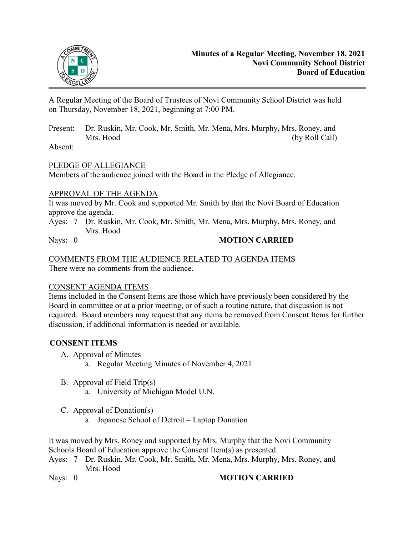

A Regular Meeting of the Board of Trustees of Novi Community School District was held on Thursday, November 18, 2021, beginning at 7:00 PM.

Present: Dr. Ruskin, Mr. Cook, Mr. Smith, Mr. Mena, Mrs. Murphy, Mrs. Roney, and Mrs. Hood (by Roll Call)

Absent:

## PLEDGE OF ALLEGIANCE

Members of the audience joined with the Board in the Pledge of Allegiance.

#### APPROVAL OF THE AGENDA

It was moved by Mr. Cook and supported Mr. Smith by that the Novi Board of Education approve the agenda.

Ayes: 7 Dr. Ruskin, Mr. Cook, Mr. Smith, Mr. Mena, Mrs. Murphy, Mrs. Roney, and Mrs. Hood

## Nays: 0 **MOTION CARRIED**

#### COMMENTS FROM THE AUDIENCE RELATED TO AGENDA ITEMS There were no comments from the audience.

#### CONSENT AGENDA ITEMS

Items included in the Consent Items are those which have previously been considered by the Board in committee or at a prior meeting, or of such a routine nature, that discussion is not required. Board members may request that any items be removed from Consent Items for further discussion, if additional information is needed or available.

# **CONSENT ITEMS**

- A. Approval of Minutes
	- a. Regular Meeting Minutes of November 4, 2021
- B. Approval of Field Trip(s)
	- a. University of Michigan Model U.N.
- C. Approval of Donation(s)
	- a. Japanese School of Detroit Laptop Donation

It was moved by Mrs. Roney and supported by Mrs. Murphy that the Novi Community Schools Board of Education approve the Consent Item(s) as presented.

Ayes: 7 Dr. Ruskin, Mr. Cook, Mr. Smith, Mr. Mena, Mrs. Murphy, Mrs. Roney, and Mrs. Hood

#### Nays: 0 **MOTION CARRIED**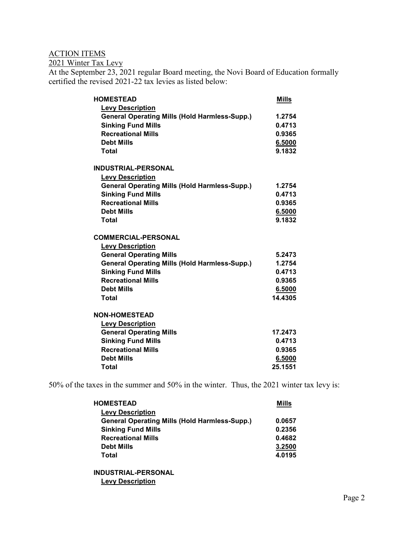# ACTION ITEMS

2021 Winter Tax Levy

At the September 23, 2021 regular Board meeting, the Novi Board of Education formally certified the revised 2021-22 tax levies as listed below:

| <b>HOMESTEAD</b>                                     | <b>Mills</b> |
|------------------------------------------------------|--------------|
| <b>Levy Description</b>                              |              |
| <b>General Operating Mills (Hold Harmless-Supp.)</b> | 1.2754       |
| <b>Sinking Fund Mills</b>                            | 0.4713       |
| <b>Recreational Mills</b>                            | 0.9365       |
| <b>Debt Mills</b>                                    | 6.5000       |
| <b>Total</b>                                         | 9.1832       |
| <b>INDUSTRIAL-PERSONAL</b>                           |              |
| <b>Levy Description</b>                              |              |
| <b>General Operating Mills (Hold Harmless-Supp.)</b> | 1.2754       |
| <b>Sinking Fund Mills</b>                            | 0.4713       |
| <b>Recreational Mills</b>                            | 0.9365       |
| <b>Debt Mills</b>                                    | 6.5000       |
| Total                                                | 9.1832       |
| <b>COMMERCIAL-PERSONAL</b>                           |              |
| <b>Levy Description</b>                              |              |
| <b>General Operating Mills</b>                       | 5.2473       |
| <b>General Operating Mills (Hold Harmless-Supp.)</b> | 1.2754       |
| <b>Sinking Fund Mills</b>                            | 0.4713       |
| <b>Recreational Mills</b>                            | 0.9365       |
| <b>Debt Mills</b>                                    | 6.5000       |
| Total                                                | 14.4305      |
| <b>NON-HOMESTEAD</b>                                 |              |
| <b>Levy Description</b>                              |              |
| <b>General Operating Mills</b>                       | 17.2473      |
| <b>Sinking Fund Mills</b>                            | 0.4713       |
| <b>Recreational Mills</b>                            | 0.9365       |
| <b>Debt Mills</b>                                    | 6.5000       |
| Total                                                | 25.1551      |

50% of the taxes in the summer and 50% in the winter. Thus, the 2021 winter tax levy is:

| <b>HOMESTEAD</b>                                     | Mills  |
|------------------------------------------------------|--------|
| <b>Levy Description</b>                              |        |
| <b>General Operating Mills (Hold Harmless-Supp.)</b> | 0.0657 |
| <b>Sinking Fund Mills</b>                            | 0.2356 |
| <b>Recreational Mills</b>                            | 0.4682 |
| <b>Debt Mills</b>                                    | 3.2500 |
| Total                                                | 4.0195 |
|                                                      |        |

**INDUSTRIAL-PERSONAL Levy Description**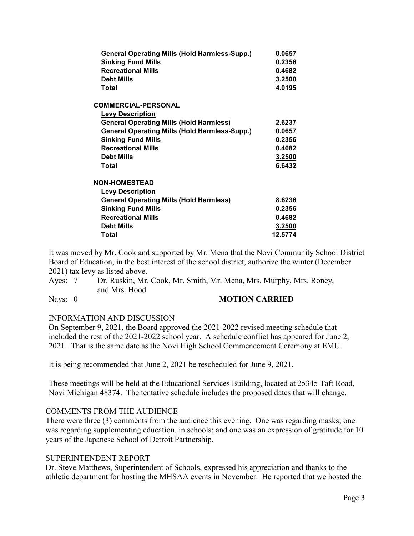| <b>General Operating Mills (Hold Harmless-Supp.)</b><br><b>Sinking Fund Mills</b><br><b>Recreational Mills</b><br><b>Debt Mills</b><br>Total | 0.0657<br>0.2356<br>0.4682<br>3.2500<br>4.0195 |
|----------------------------------------------------------------------------------------------------------------------------------------------|------------------------------------------------|
|                                                                                                                                              |                                                |
| <b>COMMERCIAL-PERSONAL</b>                                                                                                                   |                                                |
| <b>Levy Description</b>                                                                                                                      |                                                |
| <b>General Operating Mills (Hold Harmless)</b>                                                                                               | 2.6237                                         |
| <b>General Operating Mills (Hold Harmless-Supp.)</b>                                                                                         | 0.0657                                         |
| <b>Sinking Fund Mills</b>                                                                                                                    | 0.2356                                         |
| <b>Recreational Mills</b>                                                                                                                    | 0.4682                                         |
| <b>Debt Mills</b>                                                                                                                            | 3.2500                                         |
| Total                                                                                                                                        | 6.6432                                         |
| <b>NON-HOMESTEAD</b>                                                                                                                         |                                                |
| <b>Levy Description</b>                                                                                                                      |                                                |
| <b>General Operating Mills (Hold Harmless)</b>                                                                                               | 8.6236                                         |
| <b>Sinking Fund Mills</b>                                                                                                                    | 0.2356                                         |
| <b>Recreational Mills</b>                                                                                                                    | 0.4682                                         |
| <b>Debt Mills</b>                                                                                                                            | 3.2500                                         |
| Total                                                                                                                                        | 12.5774                                        |
|                                                                                                                                              |                                                |

It was moved by Mr. Cook and supported by Mr. Mena that the Novi Community School District Board of Education, in the best interest of the school district, authorize the winter (December 2021) tax levy as listed above.

Ayes: 7 Dr. Ruskin, Mr. Cook, Mr. Smith, Mr. Mena, Mrs. Murphy, Mrs. Roney, and Mrs. Hood

#### Nays: 0 **MOTION CARRIED**

#### INFORMATION AND DISCUSSION

On September 9, 2021, the Board approved the 2021-2022 revised meeting schedule that included the rest of the 2021-2022 school year. A schedule conflict has appeared for June 2, 2021. That is the same date as the Novi High School Commencement Ceremony at EMU.

It is being recommended that June 2, 2021 be rescheduled for June 9, 2021.

These meetings will be held at the Educational Services Building, located at 25345 Taft Road, Novi Michigan 48374. The tentative schedule includes the proposed dates that will change.

#### COMMENTS FROM THE AUDIENCE

There were three (3) comments from the audience this evening. One was regarding masks; one was regarding supplementing education. in schools; and one was an expression of gratitude for 10 years of the Japanese School of Detroit Partnership.

#### SUPERINTENDENT REPORT

Dr. Steve Matthews, Superintendent of Schools, expressed his appreciation and thanks to the athletic department for hosting the MHSAA events in November. He reported that we hosted the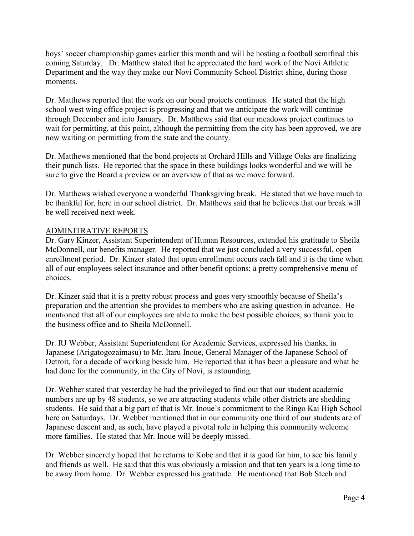boys' soccer championship games earlier this month and will be hosting a football semifinal this coming Saturday. Dr. Matthew stated that he appreciated the hard work of the Novi Athletic Department and the way they make our Novi Community School District shine, during those moments.

Dr. Matthews reported that the work on our bond projects continues. He stated that the high school west wing office project is progressing and that we anticipate the work will continue through December and into January. Dr. Matthews said that our meadows project continues to wait for permitting, at this point, although the permitting from the city has been approved, we are now waiting on permitting from the state and the county.

Dr. Matthews mentioned that the bond projects at Orchard Hills and Village Oaks are finalizing their punch lists. He reported that the space in these buildings looks wonderful and we will be sure to give the Board a preview or an overview of that as we move forward.

Dr. Matthews wished everyone a wonderful Thanksgiving break. He stated that we have much to be thankful for, here in our school district. Dr. Matthews said that he believes that our break will be well received next week.

# ADMINITRATIVE REPORTS

Dr. Gary Kinzer, Assistant Superintendent of Human Resources, extended his gratitude to Sheila McDonnell, our benefits manager. He reported that we just concluded a very successful, open enrollment period. Dr. Kinzer stated that open enrollment occurs each fall and it is the time when all of our employees select insurance and other benefit options; a pretty comprehensive menu of choices.

Dr. Kinzer said that it is a pretty robust process and goes very smoothly because of Sheila's preparation and the attention she provides to members who are asking question in advance. He mentioned that all of our employees are able to make the best possible choices, so thank you to the business office and to Sheila McDonnell.

Dr. RJ Webber, Assistant Superintendent for Academic Services, expressed his thanks, in Japanese (Arigatogozaimasu) to Mr. Itaru Inoue, General Manager of the Japanese School of Detroit, for a decade of working beside him. He reported that it has been a pleasure and what he had done for the community, in the City of Novi, is astounding.

Dr. Webber stated that yesterday he had the privileged to find out that our student academic numbers are up by 48 students, so we are attracting students while other districts are shedding students. He said that a big part of that is Mr. Inoue's commitment to the Ringo Kai High School here on Saturdays. Dr. Webber mentioned that in our community one third of our students are of Japanese descent and, as such, have played a pivotal role in helping this community welcome more families. He stated that Mr. Inoue will be deeply missed.

Dr. Webber sincerely hoped that he returns to Kobe and that it is good for him, to see his family and friends as well. He said that this was obviously a mission and that ten years is a long time to be away from home. Dr. Webber expressed his gratitude. He mentioned that Bob Steeh and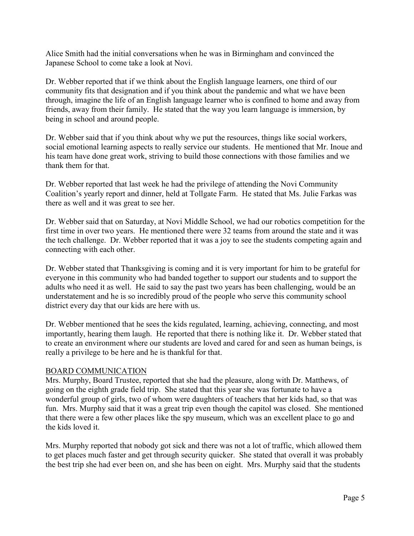Alice Smith had the initial conversations when he was in Birmingham and convinced the Japanese School to come take a look at Novi.

Dr. Webber reported that if we think about the English language learners, one third of our community fits that designation and if you think about the pandemic and what we have been through, imagine the life of an English language learner who is confined to home and away from friends, away from their family. He stated that the way you learn language is immersion, by being in school and around people.

Dr. Webber said that if you think about why we put the resources, things like social workers, social emotional learning aspects to really service our students. He mentioned that Mr. Inoue and his team have done great work, striving to build those connections with those families and we thank them for that.

Dr. Webber reported that last week he had the privilege of attending the Novi Community Coalition's yearly report and dinner, held at Tollgate Farm. He stated that Ms. Julie Farkas was there as well and it was great to see her.

Dr. Webber said that on Saturday, at Novi Middle School, we had our robotics competition for the first time in over two years. He mentioned there were 32 teams from around the state and it was the tech challenge. Dr. Webber reported that it was a joy to see the students competing again and connecting with each other.

Dr. Webber stated that Thanksgiving is coming and it is very important for him to be grateful for everyone in this community who had banded together to support our students and to support the adults who need it as well. He said to say the past two years has been challenging, would be an understatement and he is so incredibly proud of the people who serve this community school district every day that our kids are here with us.

Dr. Webber mentioned that he sees the kids regulated, learning, achieving, connecting, and most importantly, hearing them laugh. He reported that there is nothing like it. Dr. Webber stated that to create an environment where our students are loved and cared for and seen as human beings, is really a privilege to be here and he is thankful for that.

#### BOARD COMMUNICATION

Mrs. Murphy, Board Trustee, reported that she had the pleasure, along with Dr. Matthews, of going on the eighth grade field trip. She stated that this year she was fortunate to have a wonderful group of girls, two of whom were daughters of teachers that her kids had, so that was fun. Mrs. Murphy said that it was a great trip even though the capitol was closed. She mentioned that there were a few other places like the spy museum, which was an excellent place to go and the kids loved it.

Mrs. Murphy reported that nobody got sick and there was not a lot of traffic, which allowed them to get places much faster and get through security quicker. She stated that overall it was probably the best trip she had ever been on, and she has been on eight. Mrs. Murphy said that the students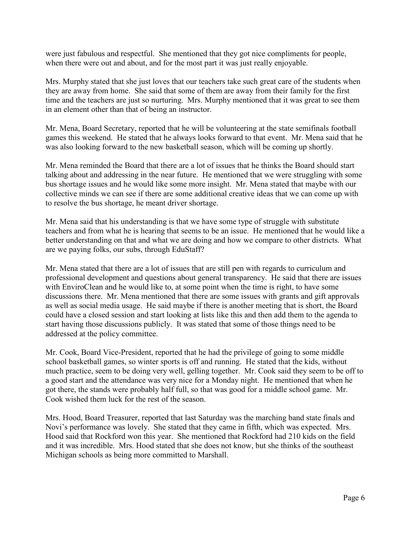were just fabulous and respectful. She mentioned that they got nice compliments for people, when there were out and about, and for the most part it was just really enjoyable.

Mrs. Murphy stated that she just loves that our teachers take such great care of the students when they are away from home. She said that some of them are away from their family for the first time and the teachers are just so nurturing. Mrs. Murphy mentioned that it was great to see them in an element other than that of being an instructor.

Mr. Mena, Board Secretary, reported that he will be volunteering at the state semifinals football games this weekend. He stated that he always looks forward to that event. Mr. Mena said that he was also looking forward to the new basketball season, which will be coming up shortly.

Mr. Mena reminded the Board that there are a lot of issues that he thinks the Board should start talking about and addressing in the near future. He mentioned that we were struggling with some bus shortage issues and he would like some more insight. Mr. Mena stated that maybe with our collective minds we can see if there are some additional creative ideas that we can come up with to resolve the bus shortage, he meant driver shortage.

Mr. Mena said that his understanding is that we have some type of struggle with substitute teachers and from what he is hearing that seems to be an issue. He mentioned that he would like a better understanding on that and what we are doing and how we compare to other districts. What are we paying folks, our subs, through EduStaff?

Mr. Mena stated that there are a lot of issues that are still pen with regards to curriculum and professional development and questions about general transparency. He said that there are issues with EnviroClean and he would like to, at some point when the time is right, to have some discussions there. Mr. Mena mentioned that there are some issues with grants and gift approvals as well as social media usage. He said maybe if there is another meeting that is short, the Board could have a closed session and start looking at lists like this and then add them to the agenda to start having those discussions publicly. It was stated that some of those things need to be addressed at the policy committee.

Mr. Cook, Board Vice-President, reported that he had the privilege of going to some middle school basketball games, so winter sports is off and running. He stated that the kids, without much practice, seem to be doing very well, gelling together. Mr. Cook said they seem to be off to a good start and the attendance was very nice for a Monday night. He mentioned that when he got there, the stands were probably half full, so that was good for a middle school game. Mr. Cook wished them luck for the rest of the season.

Mrs. Hood, Board Treasurer, reported that last Saturday was the marching band state finals and Novi's performance was lovely. She stated that they came in fifth, which was expected. Mrs. Hood said that Rockford won this year. She mentioned that Rockford had 210 kids on the field and it was incredible. Mrs. Hood stated that she does not know, but she thinks of the southeast Michigan schools as being more committed to Marshall.